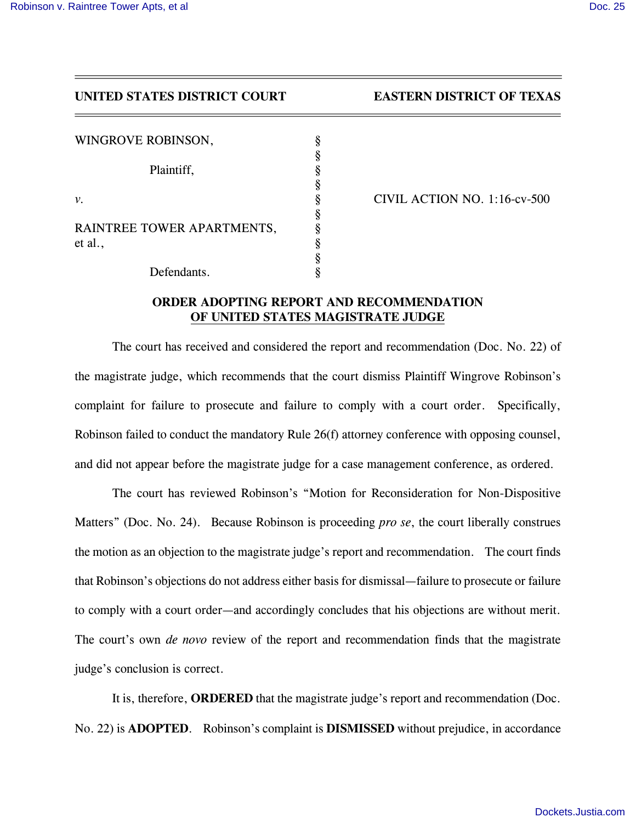## *UNITED STATES DISTRICT COURT EASTERN DISTRICT OF TEXAS*

| WINGROVE ROBINSON,                    | § |
|---------------------------------------|---|
|                                       |   |
| Plaintiff,                            | § |
|                                       | § |
| ν.                                    | § |
|                                       | § |
| RAINTREE TOWER APARTMENTS,<br>et al., | § |
|                                       | ş |
|                                       | ş |
| Defendants.                           |   |

*v. § CIVIL ACTION NO. 1:16-cv-500*

## *ORDER ADOPTING REPORT AND RECOMMENDATION OF UNITED STATES MAGISTRATE JUDGE*

*The court has received and considered the report and recommendation (Doc. No. 22) of the magistrate judge, which recommends that the court dismiss Plaintiff Wingrove Robinson's complaint for failure to prosecute and failure to comply with a court order. Specifically, Robinson failed to conduct the mandatory Rule 26(f) attorney conference with opposing counsel, and did not appear before the magistrate judge for a case management conference, as ordered.*

*The court has reviewed Robinson's "Motion for Reconsideration for Non-Dispositive Matters" (Doc. No. 24). Because Robinson is proceeding pro se, the court liberally construes the motion as an objection to the magistrate judge's report and recommendation. The court finds that Robinson's objections do not address either basis for dismissal—failure to prosecute or failure to comply with a court order—and accordingly concludes that his objections are without merit. The court's own de novo review of the report and recommendation finds that the magistrate judge's conclusion is correct.*

*It is, therefore, ORDERED that the magistrate judge's report and recommendation (Doc. No. 22) is ADOPTED. Robinson's complaint is DISMISSED without prejudice, in accordance*